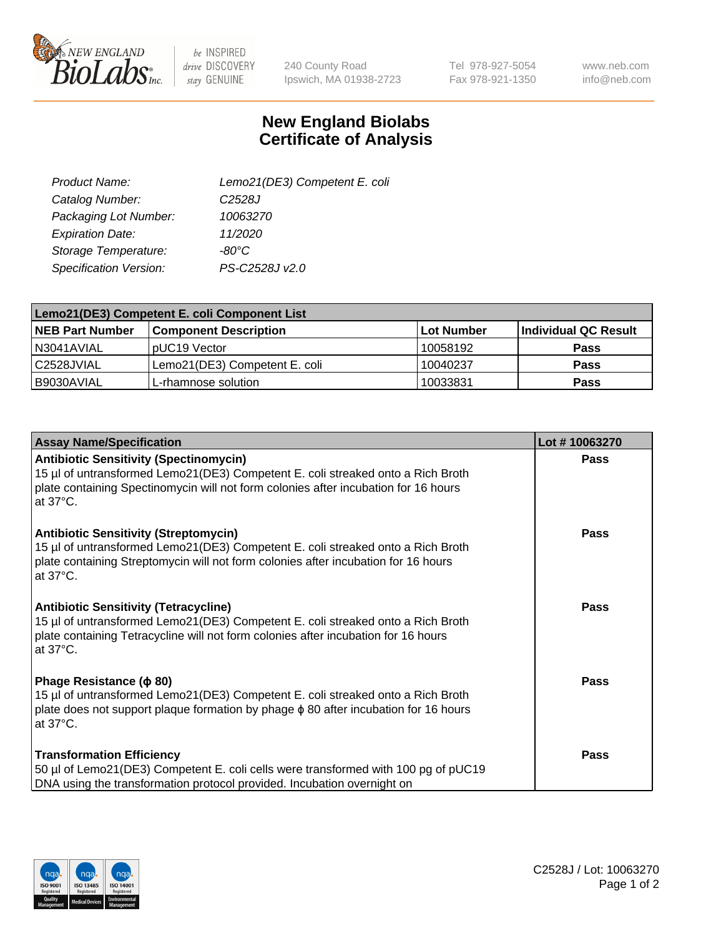

be INSPIRED drive DISCOVERY stay GENUINE

240 County Road Ipswich, MA 01938-2723 Tel 978-927-5054 Fax 978-921-1350

www.neb.com info@neb.com

## **New England Biolabs Certificate of Analysis**

| Lemo21(DE3) Competent E. coli |
|-------------------------------|
| C <sub>2528</sub> J           |
| 10063270                      |
| 11/2020                       |
| $-80^{\circ}$ C               |
| PS-C2528J v2.0                |
|                               |

| Lemo21(DE3) Competent E. coli Component List |                               |                   |                      |  |
|----------------------------------------------|-------------------------------|-------------------|----------------------|--|
| <b>NEB Part Number</b>                       | <b>Component Description</b>  | <b>Lot Number</b> | Individual QC Result |  |
| I N3041AVIAL                                 | IpUC19 Vector                 | 10058192          | Pass                 |  |
| C2528JVIAL                                   | Lemo21(DE3) Competent E. coli | 10040237          | <b>Pass</b>          |  |
| B9030AVIAL                                   | L-rhamnose solution           | 10033831          | <b>Pass</b>          |  |

| <b>Assay Name/Specification</b>                                                                                                                                                                                                               | Lot #10063270 |
|-----------------------------------------------------------------------------------------------------------------------------------------------------------------------------------------------------------------------------------------------|---------------|
| <b>Antibiotic Sensitivity (Spectinomycin)</b><br>15 µl of untransformed Lemo21(DE3) Competent E. coli streaked onto a Rich Broth<br>plate containing Spectinomycin will not form colonies after incubation for 16 hours<br>at $37^{\circ}$ C. | <b>Pass</b>   |
| <b>Antibiotic Sensitivity (Streptomycin)</b><br>15 µl of untransformed Lemo21(DE3) Competent E. coli streaked onto a Rich Broth<br>plate containing Streptomycin will not form colonies after incubation for 16 hours<br>at $37^{\circ}$ C.   | Pass          |
| <b>Antibiotic Sensitivity (Tetracycline)</b><br>15 µl of untransformed Lemo21(DE3) Competent E. coli streaked onto a Rich Broth<br>plate containing Tetracycline will not form colonies after incubation for 16 hours<br>at 37°C.             | Pass          |
| Phage Resistance ( $\phi$ 80)<br>15 µl of untransformed Lemo21(DE3) Competent E. coli streaked onto a Rich Broth<br>plate does not support plaque formation by phage $\phi$ 80 after incubation for 16 hours<br>at 37°C.                      | Pass          |
| <b>Transformation Efficiency</b><br>50 µl of Lemo21(DE3) Competent E. coli cells were transformed with 100 pg of pUC19<br>DNA using the transformation protocol provided. Incubation overnight on                                             | <b>Pass</b>   |